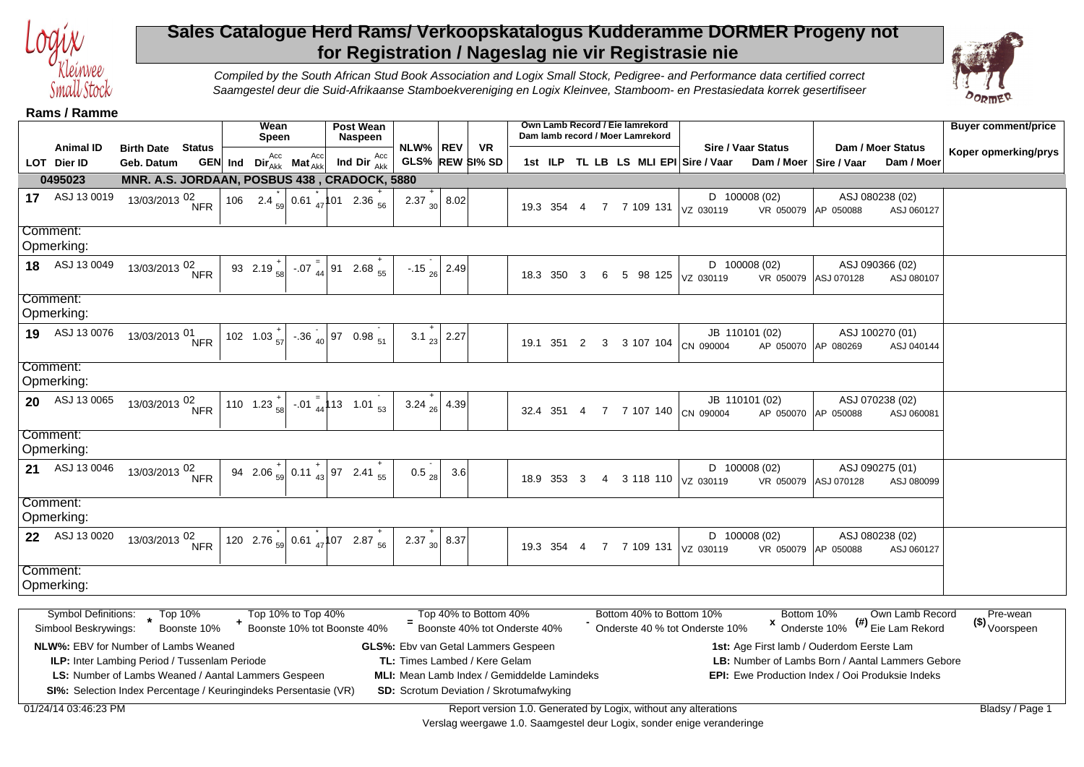

## **Sales Catalogue Herd Rams/ Verkoopskatalogus Kudderamme DORMER Progeny not for Registration / Nageslag nie vir Registrasie nie**



Compiled by the South African Stud Book Association and Logix Small Stock, Pedigree- and Performance data certified correct Saamgestel deur die Suid-Afrikaanse Stamboekvereniging en Logix Kleinvee, Stamboom- en Prestasiedata korrek gesertifiseer

**Rams / Ramme**

|                                                     |                                                 |             |     | Wean<br>Speen                    |                    | <b>Post Wean</b><br><b>Naspeen</b>                                      |                                                |                           |                                                         | Own Lamb Record / Eie lamrekord |                         |                |   | Dam lamb record / Moer Lamrekord |                                                                   |                                                         |                                 | <b>Buyer comment/price</b>            |
|-----------------------------------------------------|-------------------------------------------------|-------------|-----|----------------------------------|--------------------|-------------------------------------------------------------------------|------------------------------------------------|---------------------------|---------------------------------------------------------|---------------------------------|-------------------------|----------------|---|----------------------------------|-------------------------------------------------------------------|---------------------------------------------------------|---------------------------------|---------------------------------------|
| <b>Animal ID</b>                                    | <b>Birth Date Status</b>                        |             |     | <b>GEN</b> Ind $Dir_{Akk}^{Acc}$ | Acc                | Ind Dir $_{Akk}^{Acc}$                                                  | NLW% REV                                       |                           | <b>VR</b><br>GLS% REW SI% SD                            |                                 |                         |                |   |                                  | <b>Sire / Vaar Status</b><br>1st ILP TL LB LS MLI EPI Sire / Vaar |                                                         | Dam / Moer Status<br>Dam / Moer | Koper opmerking/prys                  |
| LOT Dier ID                                         | Geb. Datum                                      |             |     |                                  | $Mat'^{33}_{Akk}$  |                                                                         |                                                |                           |                                                         |                                 |                         |                |   |                                  |                                                                   | Dam / Moer   Sire / Vaar                                |                                 |                                       |
| 0495023                                             | MNR. A.S. JORDAAN, POSBUS 438, CRADOCK, 5880    |             |     |                                  |                    |                                                                         |                                                |                           |                                                         |                                 |                         |                |   |                                  |                                                                   |                                                         |                                 |                                       |
| 17 ASJ 13 0019                                      | 13/03/2013 <sup>02</sup> NFR                    |             | 106 |                                  |                    | 2.4 $_{59}$ 0.61 $_{47}$ 101 2.36 $_{56}$                               | 2.37 $\begin{array}{c c} + & 8.02 \end{array}$ |                           |                                                         |                                 |                         |                |   |                                  | $D$ 100008 (02)<br>19.3 354 4 7 7 109 131   VZ 030119             | VR 050079 AP 050088                                     | ASJ 080238 (02)<br>ASJ 060127   |                                       |
| Comment:                                            |                                                 |             |     |                                  |                    |                                                                         |                                                |                           |                                                         |                                 |                         |                |   |                                  |                                                                   |                                                         |                                 |                                       |
| Opmerking:                                          |                                                 |             |     |                                  |                    |                                                                         |                                                |                           |                                                         |                                 |                         |                |   |                                  |                                                                   |                                                         |                                 |                                       |
| 18 ASJ 13 0049                                      | 13/03/2013 <sup>02</sup> NFR                    |             |     | 93 2.19 $\frac{1}{58}$           |                    | $-0.07_{44}$ 91 2.68 $_{55}^{+}$                                        |                                                | $-.15$ <sub>26</sub> 2.49 |                                                         | 18.3 350                        | $\overline{\mathbf{3}}$ |                | 5 |                                  | D 100008 (02)<br>98 125 VZ 030119                                 | VR 050079 ASJ 070128                                    | ASJ 090366 (02)<br>ASJ 080107   |                                       |
| Comment:                                            |                                                 |             |     |                                  |                    |                                                                         |                                                |                           |                                                         |                                 |                         |                |   |                                  |                                                                   |                                                         |                                 |                                       |
| Opmerking:                                          |                                                 |             |     |                                  |                    |                                                                         |                                                |                           |                                                         |                                 |                         |                |   |                                  |                                                                   |                                                         |                                 |                                       |
| 19 ASJ 13 0076                                      | 13/03/2013 <sup>01</sup> NFR                    |             |     | 102 1.03 $\frac{+}{57}$          |                    | $-36\begin{array}{ c c c c c } \hline -36 & & 97 & 0.98 \end{array}$ 51 | 3.1 $_{23}$                                    | 2.27                      |                                                         | 19.1 351                        | $\overline{2}$          | 3              |   |                                  | JB 110101 (02)<br>3 107 104 CN 090004                             | AP 050070 AP 080269                                     | ASJ 100270 (01)<br>ASJ 040144   |                                       |
|                                                     |                                                 |             |     |                                  |                    |                                                                         |                                                |                           |                                                         |                                 |                         |                |   |                                  |                                                                   |                                                         |                                 |                                       |
| Comment:                                            |                                                 |             |     |                                  |                    |                                                                         |                                                |                           |                                                         |                                 |                         |                |   |                                  |                                                                   |                                                         |                                 |                                       |
| Opmerking:                                          |                                                 |             |     |                                  |                    |                                                                         |                                                |                           |                                                         |                                 |                         |                |   |                                  |                                                                   |                                                         |                                 |                                       |
| 20 ASJ 13 0065                                      | $\frac{13}{03}{\frac{32}{2013}} \frac{02}{NFR}$ |             |     |                                  |                    | 110 1.23 $\frac{1}{58}$ -.01 $\frac{1}{44}$ 13 1.01 $\frac{1}{53}$      | 3.24 $_{26}$ 4.39                              |                           |                                                         | 32.4 351                        | -4                      | $\overline{7}$ |   |                                  | JB 110101 (02)<br>7 107 140 CN 090004                             | AP 050070 AP 050088                                     | ASJ 070238 (02)<br>ASJ 060081   |                                       |
| Comment:                                            |                                                 |             |     |                                  |                    |                                                                         |                                                |                           |                                                         |                                 |                         |                |   |                                  |                                                                   |                                                         |                                 |                                       |
| Opmerking:                                          |                                                 |             |     |                                  |                    |                                                                         |                                                |                           |                                                         |                                 |                         |                |   |                                  |                                                                   |                                                         |                                 |                                       |
| ASJ 13 0046<br>21                                   |                                                 |             |     |                                  |                    | 94 2.06 $\frac{1}{59}$ 0.11 $\frac{1}{43}$ 97 2.41 $\frac{1}{55}$       |                                                | 3.6                       |                                                         |                                 |                         |                |   |                                  | D 100008 (02)                                                     |                                                         | ASJ 090275 (01)                 |                                       |
|                                                     | 13/03/2013 <sup>02</sup> NFR                    |             |     |                                  |                    |                                                                         | $0.5_{28}$                                     |                           |                                                         | 18.9 353 3                      |                         | $\overline{4}$ |   |                                  | 3 118 110 VZ 030119                                               | VR 050079 ASJ 070128                                    | ASJ 080099                      |                                       |
| Comment:                                            |                                                 |             |     |                                  |                    |                                                                         |                                                |                           |                                                         |                                 |                         |                |   |                                  |                                                                   |                                                         |                                 |                                       |
| Opmerking:                                          |                                                 |             |     |                                  |                    |                                                                         |                                                |                           |                                                         |                                 |                         |                |   |                                  |                                                                   |                                                         |                                 |                                       |
| 22 ASJ 13 0020                                      | 13/03/2013 <sup>02</sup> NFR                    |             |     |                                  |                    | 120 2.76 $\frac{1}{59}$ 0.61 $\frac{1}{47}$ 107 2.87 $\frac{1}{56}$     | 2.37 $\begin{vmatrix} 8.37 \end{vmatrix}$ 8.37 |                           |                                                         | 19.3 354                        | 4                       |                |   |                                  | D 100008 (02)<br>7 7 109 131   VZ 030119                          | VR 050079 AP 050088                                     | ASJ 080238 (02)<br>ASJ 060127   |                                       |
| Comment:                                            |                                                 |             |     |                                  |                    |                                                                         |                                                |                           |                                                         |                                 |                         |                |   |                                  |                                                                   |                                                         |                                 |                                       |
| Opmerking:                                          |                                                 |             |     |                                  |                    |                                                                         |                                                |                           |                                                         |                                 |                         |                |   |                                  |                                                                   |                                                         |                                 |                                       |
|                                                     |                                                 |             |     |                                  |                    |                                                                         |                                                |                           |                                                         |                                 |                         |                |   |                                  |                                                                   |                                                         |                                 |                                       |
| Symbol Definitions: Top 10%<br>Simbool Beskrywings: |                                                 | Boonste 10% |     |                                  | Top 10% to Top 40% | <sup>+</sup> Boonste 10% tot Boonste 40%                                |                                                |                           | Top 40% to Bottom 40%<br>= Boonste 40% tot Onderste 40% |                                 |                         |                |   |                                  | Bottom 40% to Bottom 10%<br>Onderste 40 % tot Onderste 10%        | Bottom 10%<br>$x$ Onderste 10% $($ # $)$ Eie Lam Rekord | Own Lamb Record                 | Pre-wean<br>(\$) <sub>Voorspeen</sub> |

Simbool Beskrywings: **\*** Boonste 10% **<sup>+</sup>** Boonste 10% tot Boonste 40% **<sup>=</sup>** Boonste 40% tot Onderste 40% **-** Onderste 40 % tot Onderste 10% **<sup>x</sup>** Onderste 10% **(#)** Voorspeen **NLW%:** EBV for Number of Lambs Weaned **ILP:** Inter Lambing Period / Tussenlam Periode **MLI:** Mean Lamb Index / Gemiddelde Lamindeks **GLS%:** Ebv van Getal Lammers Gespeen **TL:** Times Lambed / Kere Gelam **1st:** Age First lamb / Ouderdom Eerste Lam **LS:** Number of Lambs Weaned / Aantal Lammers Gespeen LB: Number of Lambs Born / Aantal Lammers Gebore **EPI:** Ewe Production Index / Ooi Produksie Indeks **SI%:** Selection Index Percentage / Keuringindeks Persentasie (VR) **SD:** Scrotum Deviation / Skrotumafwyking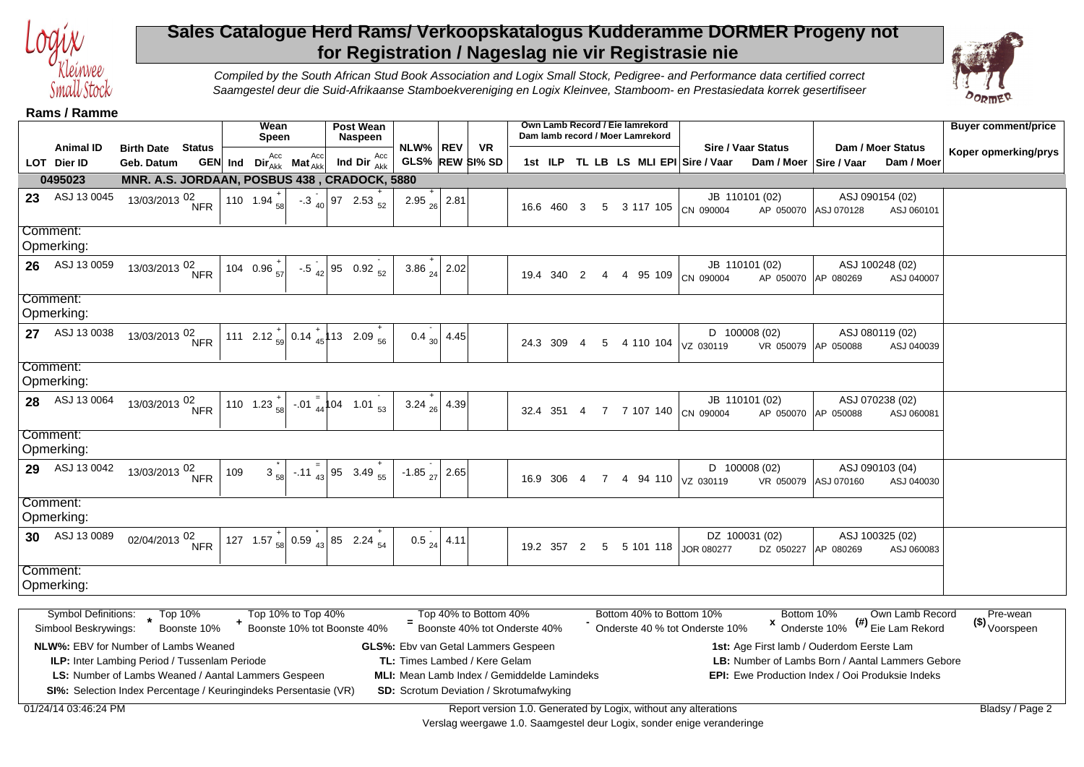

## **Sales Catalogue Herd Rams/ Verkoopskatalogus Kudderamme DORMER Progeny not for Registration / Nageslag nie vir Registrasie nie**



Compiled by the South African Stud Book Association and Logix Small Stock, Pedigree- and Performance data certified correct Saamgestel deur die Suid-Afrikaanse Stamboekvereniging en Logix Kleinvee, Stamboom- en Prestasiedata korrek gesertifiseer

**Rams / Ramme**

|    | טוווווארו <i>ו</i> כוווווגר                         |                              |               |         | Wean                    |                    | <b>Post Wean</b>                                                    |                            |                  |                                                       |            |                |                | Own Lamb Record / Eie lamrekord  |                                                            |                                         |                                       | <b>Buyer comment/price</b>            |
|----|-----------------------------------------------------|------------------------------|---------------|---------|-------------------------|--------------------|---------------------------------------------------------------------|----------------------------|------------------|-------------------------------------------------------|------------|----------------|----------------|----------------------------------|------------------------------------------------------------|-----------------------------------------|---------------------------------------|---------------------------------------|
|    | <b>Animal ID</b>                                    | <b>Birth Date</b>            | <b>Status</b> |         | <b>Speen</b>            |                    | <b>Naspeen</b>                                                      | NLW% REV                   |                  | <b>VR</b>                                             |            |                |                | Dam lamb record / Moer Lamrekord | Sire / Vaar Status                                         | Dam / Moer Status                       |                                       |                                       |
|    | LOT Dier ID                                         | Geb. Datum                   |               | GEN Ind | $Dir_{Akk}^{Acc}$       | $Mat_{Akk}^{Acc}$  | Acc<br>Ind Dir $_{Akk}$                                             |                            |                  | GLS% REW SI% SD                                       |            |                |                |                                  | 1st ILP TL LB LS MLI EPI Sire / Vaar                       | Dam / Moer   Sire / Vaar                | Dam / Moer                            | Koper opmerking/prys                  |
|    | 0495023                                             |                              |               |         |                         |                    | MNR. A.S. JORDAAN, POSBUS 438, CRADOCK, 5880                        |                            |                  |                                                       |            |                |                |                                  |                                                            |                                         |                                       |                                       |
| 23 | ASJ 13 0045                                         | 13/03/2013 02.               | <b>NFR</b>    |         | 110 1.94 $\frac{1}{58}$ |                    | $-3\frac{1}{40}$ 97 2.53 $\frac{1}{52}$                             | 2.95 $\frac{1}{26}$ 2.81   |                  |                                                       | 16.6 460 3 |                | 5 <sup>5</sup> | 3 117 105                        | JB 110101 (02)<br>CN 090004                                | ASJ 090154 (02)<br>AP 050070 ASJ 070128 | ASJ 060101                            |                                       |
|    | Comment:                                            |                              |               |         |                         |                    |                                                                     |                            |                  |                                                       |            |                |                |                                  |                                                            |                                         |                                       |                                       |
|    | Opmerking:                                          |                              |               |         |                         |                    |                                                                     |                            |                  |                                                       |            |                |                |                                  |                                                            |                                         |                                       |                                       |
|    | 26 ASJ 13 0059                                      | 13/03/2013 <sup>02</sup> NFR |               |         | 104 0.96 $\frac{+}{57}$ |                    | $-0.5$ $_{42}$ 95 0.92 $_{52}$                                      | 3.86 $_{24}$ 2.02          |                  |                                                       | 19.4 340   | 2              |                | 4 95 109                         | JB 110101 (02)<br>CN 090004                                | ASJ 100248 (02)<br>AP 050070 AP 080269  | ASJ 040007                            |                                       |
|    | Comment:<br>Opmerking:                              |                              |               |         |                         |                    |                                                                     |                            |                  |                                                       |            |                |                |                                  |                                                            |                                         |                                       |                                       |
|    | 27 ASJ 13 0038                                      | 13/03/2013 <sup>02</sup> NFR |               |         |                         |                    | 111 2.12 $\frac{1}{59}$ 0.14 $\frac{1}{45}$ 13 2.09 $\frac{1}{56}$  |                            | 0.4 $_{30}$ 4.45 |                                                       | 24.3 309   | $\overline{4}$ | 5              | 4 110 104                        | $D$ 100008 (02)<br>VZ 030119                               | ASJ 080119 (02)<br>VR 050079 AP 050088  | ASJ 040039                            |                                       |
|    | Comment:<br>Opmerking:                              |                              |               |         |                         |                    |                                                                     |                            |                  |                                                       |            |                |                |                                  |                                                            |                                         |                                       |                                       |
|    | 28 ASJ 13 0064                                      | 13/03/2013 <sup>02</sup> NFR |               |         |                         |                    | 110 1.23 $\frac{1}{58}$ -.01 $\frac{1}{44}$ 104 1.01 $\frac{1}{53}$ | 3.24 $_{26}$ 4.39          |                  |                                                       | 32.4 351   | 4              | $\overline{7}$ | 7 107 140                        | JB 110101 (02)<br>CN 090004                                | ASJ 070238 (02)<br>AP 050070 AP 050088  | ASJ 060081                            |                                       |
|    | Comment:<br>Opmerking:                              |                              |               |         |                         |                    |                                                                     |                            |                  |                                                       |            |                |                |                                  |                                                            |                                         |                                       |                                       |
| 29 | ASJ 13 0042                                         | 13/03/2013 02.               | <b>NFR</b>    | 109     | 3                       |                    | -.11 $\frac{1}{43}$ 95 3.49 $\frac{1}{55}$                          | $-1.85$ <sub>27</sub> 2.65 |                  |                                                       | 16.9 306   | $\overline{4}$ | $\overline{7}$ |                                  | D 100008 (02)<br>4 94 110 VZ 030119<br>VR 050079           | ASJ 090103 (04)<br>ASJ 070160           | ASJ 040030                            |                                       |
|    | Comment:<br>Opmerking:                              |                              |               |         |                         |                    |                                                                     |                            |                  |                                                       |            |                |                |                                  |                                                            |                                         |                                       |                                       |
|    | 30 ASJ 13 0089                                      | 02/04/2013 <sup>02</sup> NFR |               |         |                         |                    | 127 1.57 $\frac{1}{58}$ 0.59 $\frac{1}{43}$ 85 2.24 $\frac{1}{54}$  | $0.5_{24}$                 | 4.11             |                                                       | 19.2 357   | 2              | 5              | 5 101 118                        | DZ 100031 (02)<br><b>JOR 080277</b>                        | ASJ 100325 (02)<br>DZ 050227 AP 080269  | ASJ 060083                            |                                       |
|    | Comment:<br>Opmerking:                              |                              |               |         |                         |                    |                                                                     |                            |                  |                                                       |            |                |                |                                  |                                                            |                                         |                                       |                                       |
|    |                                                     |                              |               |         |                         |                    |                                                                     |                            |                  |                                                       |            |                |                |                                  |                                                            |                                         |                                       |                                       |
|    | Symbol Definitions: Top 10%<br>Simbool Beskrywings: |                              | Boonste 10%   |         |                         | Top 10% to Top 40% | Boonste 10% tot Boonste 40%                                         | $=$                        |                  | Top 40% to Bottom 40%<br>Boonste 40% tot Onderste 40% |            |                |                |                                  | Bottom 40% to Bottom 10%<br>Onderste 40 % tot Onderste 10% | Bottom 10%<br><sup>x</sup> Onderste 10% | Own Lamb Record<br>(#) Eie Lam Rekord | Pre-wean<br>(\$) <sub>Voorspeen</sub> |
|    |                                                     |                              |               |         |                         |                    |                                                                     |                            |                  |                                                       |            |                |                |                                  |                                                            |                                         |                                       |                                       |

**MLI:** Mean Lamb Index / Gemiddelde Lamindeks

**GLS%:** Ebv van Getal Lammers Gespeen **TL:** Times Lambed / Kere Gelam

**NLW%:** EBV for Number of Lambs Weaned

**ILP:** Inter Lambing Period / Tussenlam Periode **LS:** Number of Lambs Weaned / Aantal Lammers Gespeen

**SI%:** Selection Index Percentage / Keuringindeks Persentasie (VR) **SD:** Scrotum Deviation / Skrotumafwyking

**1st:** Age First lamb / Ouderdom Eerste Lam

LB: Number of Lambs Born / Aantal Lammers Gebore **EPI:** Ewe Production Index / Ooi Produksie Indeks